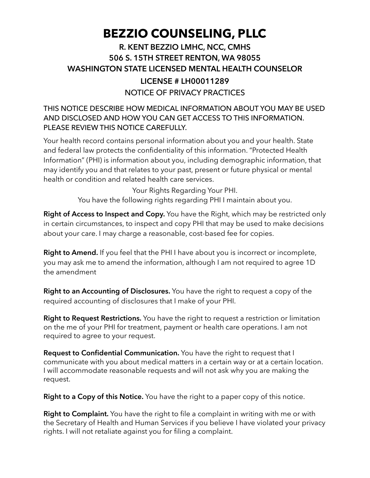# **BEZZIO COUNSELING, PLLC**

## NOTICE OF PRIVACY PRACTICES **R. KENT BEZZIO LMHC, NCC, CMHS 506 S. 15TH STREET RENTON, WA 98055 WASHINGTON STATE LICENSED MENTAL HEALTH COUNSELOR LICENSE # LH00011289**

### THIS NOTICE DESCRIBE HOW MEDICAL INFORMATION ABOUT YOU MAY BE USED AND DISCLOSED AND HOW YOU CAN GET ACCESS TO THIS INFORMATION. PLEASE REVIEW THIS NOTICE CAREFULLY.

Your health record contains personal information about you and your health. State and federal law protects the confidentiality of this information. "Protected Health Information" (PHI) is information about you, including demographic information, that may identify you and that relates to your past, present or future physical or mental health or condition and related health care services.

Your Rights Regarding Your PHI.

You have the following rights regarding PHI I maintain about you.

**Right of Access to Inspect and Copy.** You have the Right, which may be restricted only in certain circumstances, to inspect and copy PHI that may be used to make decisions about your care. I may charge a reasonable, cost-based fee for copies.

**Right to Amend.** If you feel that the PHI I have about you is incorrect or incomplete, you may ask me to amend the information, although I am not required to agree 1D the amendment

**Right to an Accounting of Disclosures.** You have the right to request a copy of the required accounting of disclosures that I make of your PHI.

**Right to Request Restrictions.** You have the right to request a restriction or limitation on the me of your PHI for treatment, payment or health care operations. I am not required to agree to your request.

**Request to Confidential Communication.** You have the right to request that I communicate with you about medical matters in a certain way or at a certain location. I will accommodate reasonable requests and will not ask why you are making the request.

**Right to a Copy of this Notice.** You have the right to a paper copy of this notice.

**Right to Complaint.** You have the right to file a complaint in writing with me or with the Secretary of Health and Human Services if you believe I have violated your privacy rights. I will not retaliate against you for filing a complaint.